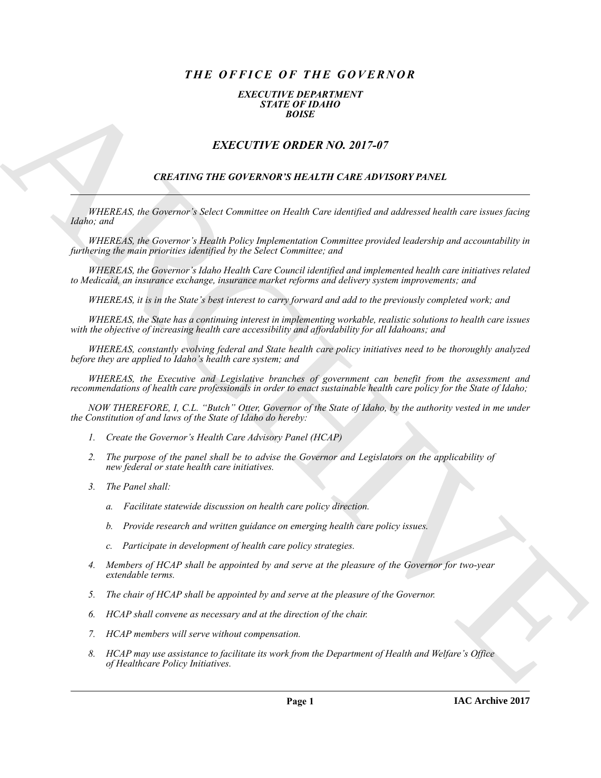# *THE OFFICE OF THE GOVERNOR*

## *EXECUTIVE DEPARTMENT STATE OF IDAHO BOISE*

# *EXECUTIVE ORDER NO. 2017-07*

## *CREATING THE GOVERNOR'S HEALTH CARE ADVISORY PANEL*

*WHEREAS, the Governor's Select Committee on Health Care identified and addressed health care issues facing Idaho; and*

**EXACT THE ORDER NO. 2017-07**<br> **EXACT THE ORDER NO. 2017-07**<br> **EXACT THE ORDER NO. 2017-07**<br> **EXACT THE ORDER NO. 2017-07**<br> **CELLINOR THE ORDER NO. 2017-07**<br> **CELLINOR THE ORDER NO. 2017-07**<br> **CELLINOR THE ORDER NO. 2017-***WHEREAS, the Governor's Health Policy Implementation Committee provided leadership and accountability in furthering the main priorities identified by the Select Committee; and*

*WHEREAS, the Governor's Idaho Health Care Council identified and implemented health care initiatives related to Medicaid, an insurance exchange, insurance market reforms and delivery system improvements; and*

*WHEREAS, it is in the State's best interest to carry forward and add to the previously completed work; and*

*WHEREAS, the State has a continuing interest in implementing workable, realistic solutions to health care issues with the objective of increasing health care accessibility and affordability for all Idahoans; and*

*WHEREAS, constantly evolving federal and State health care policy initiatives need to be thoroughly analyzed before they are applied to Idaho's health care system; and*

*WHEREAS, the Executive and Legislative branches of government can benefit from the assessment and recommendations of health care professionals in order to enact sustainable health care policy for the State of Idaho;*

*NOW THEREFORE, I, C.L. "Butch" Otter, Governor of the State of Idaho, by the authority vested in me under the Constitution of and laws of the State of Idaho do hereby:*

- *1. Create the Governor's Health Care Advisory Panel (HCAP)*
- *2. The purpose of the panel shall be to advise the Governor and Legislators on the applicability of new federal or state health care initiatives.*
- *3. The Panel shall:*
	- *a. Facilitate statewide discussion on health care policy direction.*
	- *b. Provide research and written guidance on emerging health care policy issues.*
	- *c. Participate in development of health care policy strategies.*
- *4. Members of HCAP shall be appointed by and serve at the pleasure of the Governor for two-year extendable terms.*
- *5. The chair of HCAP shall be appointed by and serve at the pleasure of the Governor.*
- *6. HCAP shall convene as necessary and at the direction of the chair.*
- *7. HCAP members will serve without compensation.*
- *8. HCAP may use assistance to facilitate its work from the Department of Health and Welfare's Office of Healthcare Policy Initiatives.*